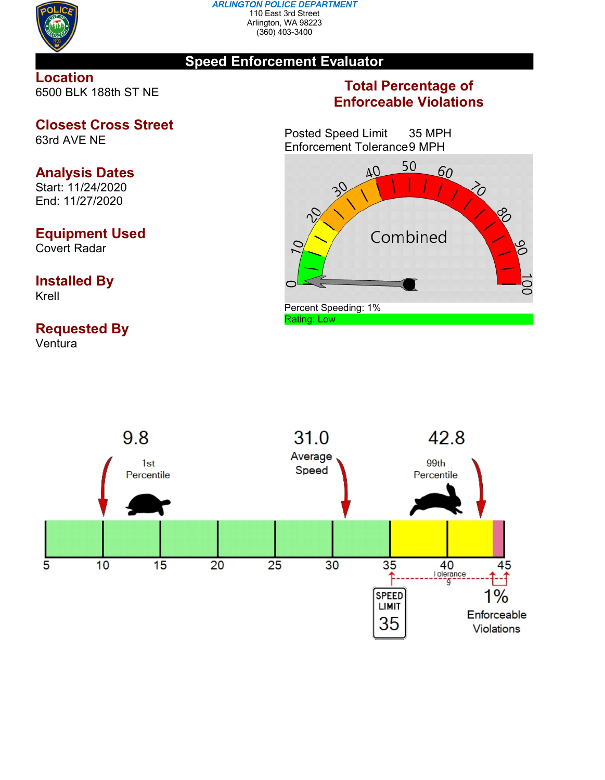

#### *ARLINGTON POLICE DEPARTMENT* 110 East 3rd Street Arlington, WA 98223 (360) 403-3400

## **Speed Enforcement Evaluator**

## **Location** 6500 BLK 188th ST NE

**Closest Cross Street** 63rd AVE NE

# **Analysis Dates**

Start: 11/24/2020 End: 11/27/2020

## **Equipment Used**

Covert Radar

### **Installed By** Krell

# **Requested By**

Ventura

## **Total Percentage of Enforceable Violations**

Posted Speed Limit 35 MPH Enforcement Tolerance9 MPH